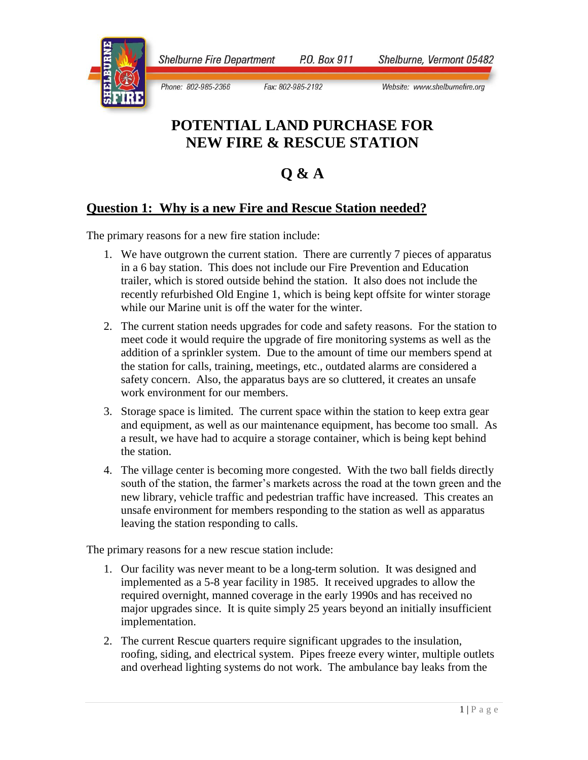**Shelburne Fire Department** P.O. Box 911

Phone: 802-985-2366 Fax: 802-985-2192 Shelburne, Vermont 05482

Website: www.shelburnefire.org

# **POTENTIAL LAND PURCHASE FOR NEW FIRE & RESCUE STATION**

## **Q & A**

#### **Question 1: Why is a new Fire and Rescue Station needed?**

The primary reasons for a new fire station include:

- 1. We have outgrown the current station. There are currently 7 pieces of apparatus in a 6 bay station. This does not include our Fire Prevention and Education trailer, which is stored outside behind the station. It also does not include the recently refurbished Old Engine 1, which is being kept offsite for winter storage while our Marine unit is off the water for the winter.
- 2. The current station needs upgrades for code and safety reasons. For the station to meet code it would require the upgrade of fire monitoring systems as well as the addition of a sprinkler system. Due to the amount of time our members spend at the station for calls, training, meetings, etc., outdated alarms are considered a safety concern. Also, the apparatus bays are so cluttered, it creates an unsafe work environment for our members.
- 3. Storage space is limited. The current space within the station to keep extra gear and equipment, as well as our maintenance equipment, has become too small. As a result, we have had to acquire a storage container, which is being kept behind the station.
- 4. The village center is becoming more congested. With the two ball fields directly south of the station, the farmer's markets across the road at the town green and the new library, vehicle traffic and pedestrian traffic have increased. This creates an unsafe environment for members responding to the station as well as apparatus leaving the station responding to calls.

The primary reasons for a new rescue station include:

- 1. Our facility was never meant to be a long-term solution. It was designed and implemented as a 5-8 year facility in 1985. It received upgrades to allow the required overnight, manned coverage in the early 1990s and has received no major upgrades since. It is quite simply 25 years beyond an initially insufficient implementation.
- 2. The current Rescue quarters require significant upgrades to the insulation, roofing, siding, and electrical system. Pipes freeze every winter, multiple outlets and overhead lighting systems do not work. The ambulance bay leaks from the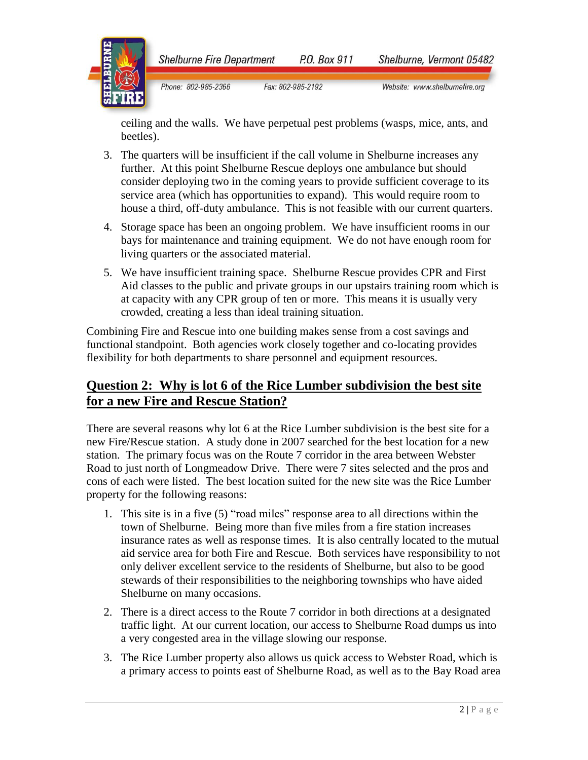

**Shelburne Fire Department** P.O. Box 911 Shelburne, Vermont 05482

Phone: 802-985-2366 Fax: 802-985-2192 Website: www.shelburnefire.org

ceiling and the walls. We have perpetual pest problems (wasps, mice, ants, and beetles).

- 3. The quarters will be insufficient if the call volume in Shelburne increases any further. At this point Shelburne Rescue deploys one ambulance but should consider deploying two in the coming years to provide sufficient coverage to its service area (which has opportunities to expand). This would require room to house a third, off-duty ambulance. This is not feasible with our current quarters.
- 4. Storage space has been an ongoing problem. We have insufficient rooms in our bays for maintenance and training equipment. We do not have enough room for living quarters or the associated material.
- 5. We have insufficient training space. Shelburne Rescue provides CPR and First Aid classes to the public and private groups in our upstairs training room which is at capacity with any CPR group of ten or more. This means it is usually very crowded, creating a less than ideal training situation.

Combining Fire and Rescue into one building makes sense from a cost savings and functional standpoint. Both agencies work closely together and co-locating provides flexibility for both departments to share personnel and equipment resources.

### **Question 2: Why is lot 6 of the Rice Lumber subdivision the best site for a new Fire and Rescue Station?**

There are several reasons why lot 6 at the Rice Lumber subdivision is the best site for a new Fire/Rescue station. A study done in 2007 searched for the best location for a new station. The primary focus was on the Route 7 corridor in the area between Webster Road to just north of Longmeadow Drive. There were 7 sites selected and the pros and cons of each were listed. The best location suited for the new site was the Rice Lumber property for the following reasons:

- 1. This site is in a five (5) "road miles" response area to all directions within the town of Shelburne. Being more than five miles from a fire station increases insurance rates as well as response times. It is also centrally located to the mutual aid service area for both Fire and Rescue. Both services have responsibility to not only deliver excellent service to the residents of Shelburne, but also to be good stewards of their responsibilities to the neighboring townships who have aided Shelburne on many occasions.
- 2. There is a direct access to the Route 7 corridor in both directions at a designated traffic light. At our current location, our access to Shelburne Road dumps us into a very congested area in the village slowing our response.
- 3. The Rice Lumber property also allows us quick access to Webster Road, which is a primary access to points east of Shelburne Road, as well as to the Bay Road area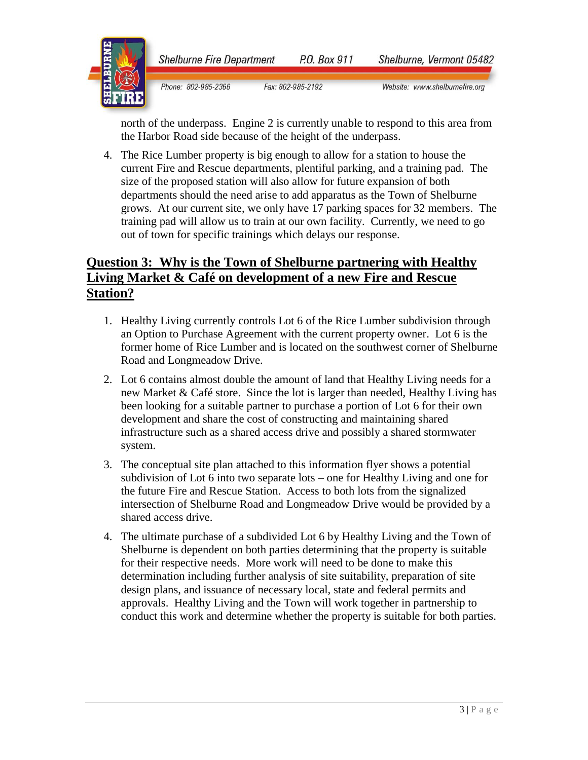



Phone: 802-985-2366 Fax: 802-985-2192 Website: www.shelburnefire.org

north of the underpass. Engine 2 is currently unable to respond to this area from the Harbor Road side because of the height of the underpass.

4. The Rice Lumber property is big enough to allow for a station to house the current Fire and Rescue departments, plentiful parking, and a training pad. The size of the proposed station will also allow for future expansion of both departments should the need arise to add apparatus as the Town of Shelburne grows. At our current site, we only have 17 parking spaces for 32 members. The training pad will allow us to train at our own facility. Currently, we need to go out of town for specific trainings which delays our response.

### **Question 3: Why is the Town of Shelburne partnering with Healthy Living Market & Café on development of a new Fire and Rescue Station?**

- 1. Healthy Living currently controls Lot 6 of the Rice Lumber subdivision through an Option to Purchase Agreement with the current property owner. Lot 6 is the former home of Rice Lumber and is located on the southwest corner of Shelburne Road and Longmeadow Drive.
- 2. Lot 6 contains almost double the amount of land that Healthy Living needs for a new Market & Café store. Since the lot is larger than needed, Healthy Living has been looking for a suitable partner to purchase a portion of Lot 6 for their own development and share the cost of constructing and maintaining shared infrastructure such as a shared access drive and possibly a shared stormwater system.
- 3. The conceptual site plan attached to this information flyer shows a potential subdivision of Lot 6 into two separate lots – one for Healthy Living and one for the future Fire and Rescue Station. Access to both lots from the signalized intersection of Shelburne Road and Longmeadow Drive would be provided by a shared access drive.
- 4. The ultimate purchase of a subdivided Lot 6 by Healthy Living and the Town of Shelburne is dependent on both parties determining that the property is suitable for their respective needs. More work will need to be done to make this determination including further analysis of site suitability, preparation of site design plans, and issuance of necessary local, state and federal permits and approvals. Healthy Living and the Town will work together in partnership to conduct this work and determine whether the property is suitable for both parties.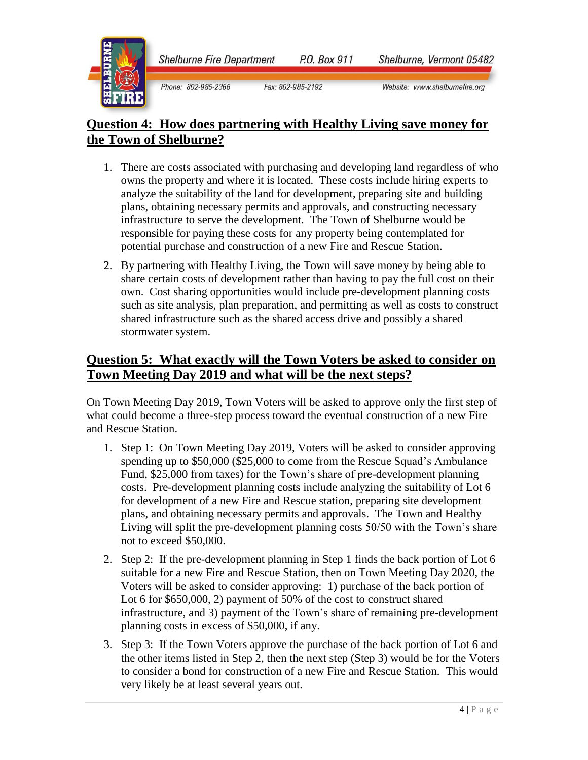**Shelburne Fire Department** P.O. Box 911



Phone: 802-985-2366 Fax: 802-985-2192 Shelburne, Vermont 05482

Website: www.shelburnefire.org

### **Question 4: How does partnering with Healthy Living save money for the Town of Shelburne?**

- 1. There are costs associated with purchasing and developing land regardless of who owns the property and where it is located. These costs include hiring experts to analyze the suitability of the land for development, preparing site and building plans, obtaining necessary permits and approvals, and constructing necessary infrastructure to serve the development. The Town of Shelburne would be responsible for paying these costs for any property being contemplated for potential purchase and construction of a new Fire and Rescue Station.
- 2. By partnering with Healthy Living, the Town will save money by being able to share certain costs of development rather than having to pay the full cost on their own. Cost sharing opportunities would include pre-development planning costs such as site analysis, plan preparation, and permitting as well as costs to construct shared infrastructure such as the shared access drive and possibly a shared stormwater system.

### **Question 5: What exactly will the Town Voters be asked to consider on Town Meeting Day 2019 and what will be the next steps?**

On Town Meeting Day 2019, Town Voters will be asked to approve only the first step of what could become a three-step process toward the eventual construction of a new Fire and Rescue Station.

- 1. Step 1: On Town Meeting Day 2019, Voters will be asked to consider approving spending up to \$50,000 (\$25,000 to come from the Rescue Squad's Ambulance Fund, \$25,000 from taxes) for the Town's share of pre-development planning costs. Pre-development planning costs include analyzing the suitability of Lot 6 for development of a new Fire and Rescue station, preparing site development plans, and obtaining necessary permits and approvals. The Town and Healthy Living will split the pre-development planning costs 50/50 with the Town's share not to exceed \$50,000.
- 2. Step 2: If the pre-development planning in Step 1 finds the back portion of Lot 6 suitable for a new Fire and Rescue Station, then on Town Meeting Day 2020, the Voters will be asked to consider approving: 1) purchase of the back portion of Lot 6 for \$650,000, 2) payment of 50% of the cost to construct shared infrastructure, and 3) payment of the Town's share of remaining pre-development planning costs in excess of \$50,000, if any.
- 3. Step 3: If the Town Voters approve the purchase of the back portion of Lot 6 and the other items listed in Step 2, then the next step (Step 3) would be for the Voters to consider a bond for construction of a new Fire and Rescue Station. This would very likely be at least several years out.